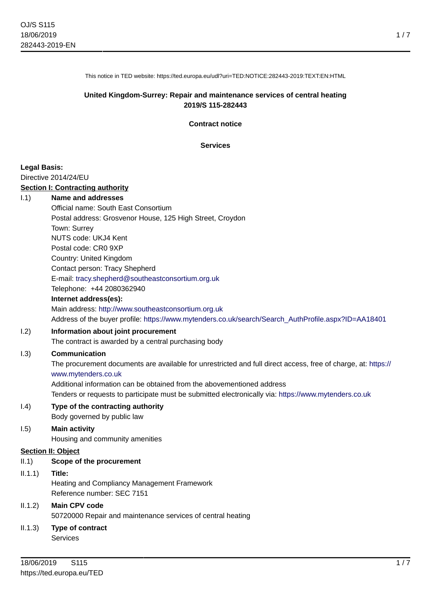1 / 7

This notice in TED website: https://ted.europa.eu/udl?uri=TED:NOTICE:282443-2019:TEXT:EN:HTML

# **United Kingdom-Surrey: Repair and maintenance services of central heating 2019/S 115-282443**

**Contract notice**

**Services**

#### **Legal Basis:**

Directive 2014/24/EU

#### **Section I: Contracting authority**

I.1) **Name and addresses**

Official name: South East Consortium

Postal address: Grosvenor House, 125 High Street, Croydon

Town: Surrey

NUTS code: UKJ4 Kent

Postal code: CR0 9XP

Country: United Kingdom Contact person: Tracy Shepherd

E-mail: [tracy.shepherd@southeastconsortium.org.uk](mailto:tracy.shepherd@southeastconsortium.org.uk)

Telephone: +44 2080362940

#### **Internet address(es):**

Main address:<http://www.southeastconsortium.org.uk> Address of the buyer profile: [https://www.mytenders.co.uk/search/Search\\_AuthProfile.aspx?ID=AA18401](https://www.mytenders.co.uk/search/Search_AuthProfile.aspx?ID=AA18401)

# I.2) **Information about joint procurement**

The contract is awarded by a central purchasing body

# I.3) **Communication**

The procurement documents are available for unrestricted and full direct access, free of charge, at: [https://](https://www.mytenders.co.uk) [www.mytenders.co.uk](https://www.mytenders.co.uk)

Additional information can be obtained from the abovementioned address

Tenders or requests to participate must be submitted electronically via:<https://www.mytenders.co.uk>

# I.4) **Type of the contracting authority**

Body governed by public law

# I.5) **Main activity**

Housing and community amenities

# **Section II: Object**

# II.1) **Scope of the procurement**

II.1.1) **Title:** Heating and Compliancy Management Framework Reference number: SEC 7151

# II.1.2) **Main CPV code** 50720000 Repair and maintenance services of central heating

II.1.3) **Type of contract** Services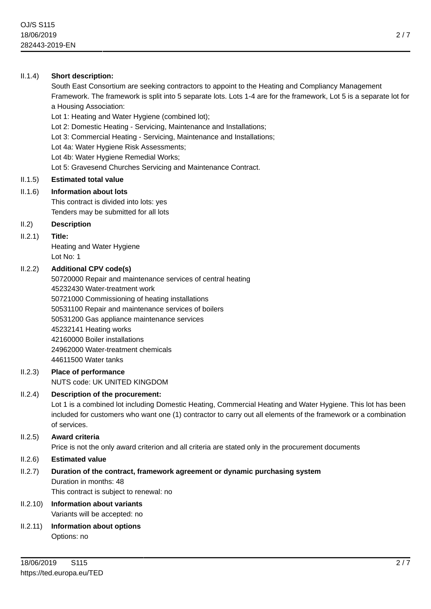# II.1.4) **Short description:**

South East Consortium are seeking contractors to appoint to the Heating and Compliancy Management Framework. The framework is split into 5 separate lots. Lots 1-4 are for the framework, Lot 5 is a separate lot for a Housing Association:

Lot 1: Heating and Water Hygiene (combined lot);

Lot 2: Domestic Heating - Servicing, Maintenance and Installations;

Lot 3: Commercial Heating - Servicing, Maintenance and Installations;

Lot 4a: Water Hygiene Risk Assessments;

Lot 4b: Water Hygiene Remedial Works;

Lot 5: Gravesend Churches Servicing and Maintenance Contract.

# II.1.5) **Estimated total value**

# II.1.6) **Information about lots**

This contract is divided into lots: yes Tenders may be submitted for all lots

# II.2) **Description**

II.2.1) **Title:**

Heating and Water Hygiene Lot No: 1

# II.2.2) **Additional CPV code(s)**

50720000 Repair and maintenance services of central heating 45232430 Water-treatment work 50721000 Commissioning of heating installations 50531100 Repair and maintenance services of boilers 50531200 Gas appliance maintenance services 45232141 Heating works 42160000 Boiler installations 24962000 Water-treatment chemicals 44611500 Water tanks

# II.2.3) **Place of performance** NUTS code: UK UNITED KINGDOM

# II.2.4) **Description of the procurement:**

Lot 1 is a combined lot including Domestic Heating, Commercial Heating and Water Hygiene. This lot has been included for customers who want one (1) contractor to carry out all elements of the framework or a combination of services.

# II.2.5) **Award criteria**

Price is not the only award criterion and all criteria are stated only in the procurement documents

# II.2.6) **Estimated value**

# II.2.7) **Duration of the contract, framework agreement or dynamic purchasing system** Duration in months: 48 This contract is subject to renewal: no

# II.2.10) **Information about variants** Variants will be accepted: no

II.2.11) **Information about options** Options: no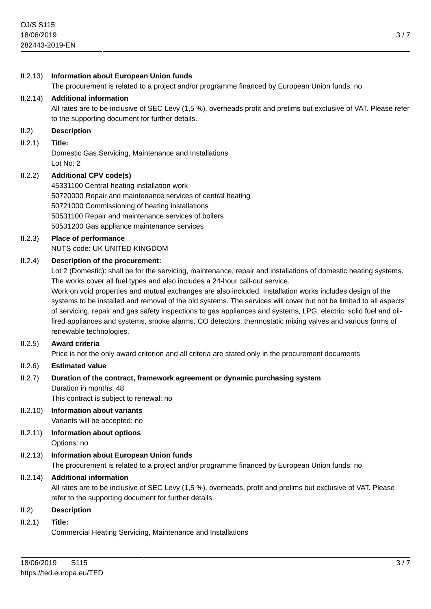# II.2.13) **Information about European Union funds** The procurement is related to a project and/or programme financed by European Union funds: no II.2.14) **Additional information** All rates are to be inclusive of SEC Levy (1,5 %), overheads profit and prelims but exclusive of VAT. Please refer to the supporting document for further details. II.2) **Description** II.2.1) **Title:** Domestic Gas Servicing, Maintenance and Installations Lot No: 2 II.2.2) **Additional CPV code(s)** 45331100 Central-heating installation work 50720000 Repair and maintenance services of central heating 50721000 Commissioning of heating installations 50531100 Repair and maintenance services of boilers 50531200 Gas appliance maintenance services II.2.3) **Place of performance** NUTS code: UK UNITED KINGDOM II.2.4) **Description of the procurement:** Lot 2 (Domestic): shall be for the servicing, maintenance, repair and installations of domestic heating systems. The works cover all fuel types and also includes a 24-hour call-out service. Work on void properties and mutual exchanges are also included. Installation works includes design of the systems to be installed and removal of the old systems. The services will cover but not be limited to all aspects of servicing, repair and gas safety inspections to gas appliances and systems, LPG, electric, solid fuel and oilfired appliances and systems, smoke alarms, CO detectors, thermostatic mixing valves and various forms of renewable technologies. II.2.5) **Award criteria** Price is not the only award criterion and all criteria are stated only in the procurement documents II.2.6) **Estimated value** II.2.7) **Duration of the contract, framework agreement or dynamic purchasing system** Duration in months: 48 This contract is subject to renewal: no II.2.10) **Information about variants** Variants will be accepted: no II.2.11) **Information about options** Options: no II.2.13) **Information about European Union funds** The procurement is related to a project and/or programme financed by European Union funds: no II.2.14) **Additional information** All rates are to be inclusive of SEC Levy (1,5 %), overheads, profit and prelims but exclusive of VAT. Please refer to the supporting document for further details. II.2) **Description** II.2.1) **Title:** Commercial Heating Servicing, Maintenance and Installations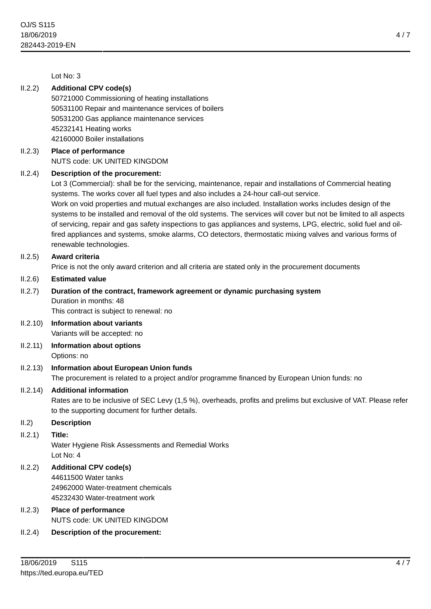Lot No: 3

| <b>Additional CPV code(s)</b><br>50721000 Commissioning of heating installations<br>50531100 Repair and maintenance services of boilers<br>50531200 Gas appliance maintenance services<br>45232141 Heating works<br>42160000 Boiler installations                                                                                                                                                                                                                                                                                                                                                                                                                                                                                      |
|----------------------------------------------------------------------------------------------------------------------------------------------------------------------------------------------------------------------------------------------------------------------------------------------------------------------------------------------------------------------------------------------------------------------------------------------------------------------------------------------------------------------------------------------------------------------------------------------------------------------------------------------------------------------------------------------------------------------------------------|
| <b>Place of performance</b><br>NUTS code: UK UNITED KINGDOM                                                                                                                                                                                                                                                                                                                                                                                                                                                                                                                                                                                                                                                                            |
| Description of the procurement:<br>Lot 3 (Commercial): shall be for the servicing, maintenance, repair and installations of Commercial heating<br>systems. The works cover all fuel types and also includes a 24-hour call-out service.<br>Work on void properties and mutual exchanges are also included. Installation works includes design of the<br>systems to be installed and removal of the old systems. The services will cover but not be limited to all aspects<br>of servicing, repair and gas safety inspections to gas appliances and systems, LPG, electric, solid fuel and oil-<br>fired appliances and systems, smoke alarms, CO detectors, thermostatic mixing valves and various forms of<br>renewable technologies. |
| <b>Award criteria</b><br>Price is not the only award criterion and all criteria are stated only in the procurement documents                                                                                                                                                                                                                                                                                                                                                                                                                                                                                                                                                                                                           |
| <b>Estimated value</b>                                                                                                                                                                                                                                                                                                                                                                                                                                                                                                                                                                                                                                                                                                                 |
| Duration of the contract, framework agreement or dynamic purchasing system<br>Duration in months: 48<br>This contract is subject to renewal: no                                                                                                                                                                                                                                                                                                                                                                                                                                                                                                                                                                                        |
| <b>Information about variants</b><br>Variants will be accepted: no                                                                                                                                                                                                                                                                                                                                                                                                                                                                                                                                                                                                                                                                     |
| <b>Information about options</b><br>Options: no                                                                                                                                                                                                                                                                                                                                                                                                                                                                                                                                                                                                                                                                                        |
| <b>Information about European Union funds</b><br>The procurement is related to a project and/or programme financed by European Union funds: no                                                                                                                                                                                                                                                                                                                                                                                                                                                                                                                                                                                         |
| <b>Additional information</b><br>Rates are to be inclusive of SEC Levy (1,5 %), overheads, profits and prelims but exclusive of VAT. Please refer<br>to the supporting document for further details.                                                                                                                                                                                                                                                                                                                                                                                                                                                                                                                                   |
| <b>Description</b>                                                                                                                                                                                                                                                                                                                                                                                                                                                                                                                                                                                                                                                                                                                     |
| Title:<br>Water Hygiene Risk Assessments and Remedial Works<br>Lot No: 4                                                                                                                                                                                                                                                                                                                                                                                                                                                                                                                                                                                                                                                               |
| <b>Additional CPV code(s)</b><br>44611500 Water tanks<br>24962000 Water-treatment chemicals<br>45232430 Water-treatment work                                                                                                                                                                                                                                                                                                                                                                                                                                                                                                                                                                                                           |
| Place of performance<br>NUTS code: UK UNITED KINGDOM                                                                                                                                                                                                                                                                                                                                                                                                                                                                                                                                                                                                                                                                                   |
| Description of the procurement:                                                                                                                                                                                                                                                                                                                                                                                                                                                                                                                                                                                                                                                                                                        |
|                                                                                                                                                                                                                                                                                                                                                                                                                                                                                                                                                                                                                                                                                                                                        |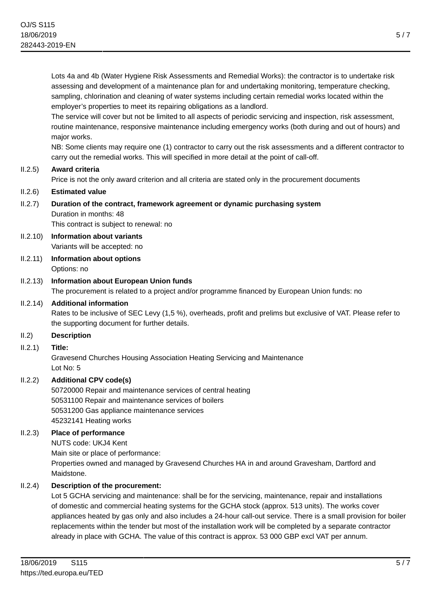Lots 4a and 4b (Water Hygiene Risk Assessments and Remedial Works): the contractor is to undertake risk assessing and development of a maintenance plan for and undertaking monitoring, temperature checking, sampling, chlorination and cleaning of water systems including certain remedial works located within the employer's properties to meet its repairing obligations as a landlord.

The service will cover but not be limited to all aspects of periodic servicing and inspection, risk assessment, routine maintenance, responsive maintenance including emergency works (both during and out of hours) and major works.

NB: Some clients may require one (1) contractor to carry out the risk assessments and a different contractor to carry out the remedial works. This will specified in more detail at the point of call-off.

# II.2.5) **Award criteria**

Price is not the only award criterion and all criteria are stated only in the procurement documents

# II.2.6) **Estimated value**

# II.2.7) **Duration of the contract, framework agreement or dynamic purchasing system** Duration in months: 48

This contract is subject to renewal: no

- II.2.10) **Information about variants** Variants will be accepted: no
- II.2.11) **Information about options** Options: no
- II.2.13) **Information about European Union funds** The procurement is related to a project and/or programme financed by European Union funds: no

#### II.2.14) **Additional information**

Rates to be inclusive of SEC Levy (1,5 %), overheads, profit and prelims but exclusive of VAT. Please refer to the supporting document for further details.

# II.2) **Description**

#### II.2.1) **Title:**

Gravesend Churches Housing Association Heating Servicing and Maintenance Lot No: 5

# II.2.2) **Additional CPV code(s)**

50720000 Repair and maintenance services of central heating 50531100 Repair and maintenance services of boilers 50531200 Gas appliance maintenance services 45232141 Heating works

# II.2.3) **Place of performance**

NUTS code: UKJ4 Kent

Main site or place of performance: Properties owned and managed by Gravesend Churches HA in and around Gravesham, Dartford and Maidstone.

# II.2.4) **Description of the procurement:**

Lot 5 GCHA servicing and maintenance: shall be for the servicing, maintenance, repair and installations of domestic and commercial heating systems for the GCHA stock (approx. 513 units). The works cover appliances heated by gas only and also includes a 24-hour call-out service. There is a small provision for boiler replacements within the tender but most of the installation work will be completed by a separate contractor already in place with GCHA. The value of this contract is approx. 53 000 GBP excl VAT per annum.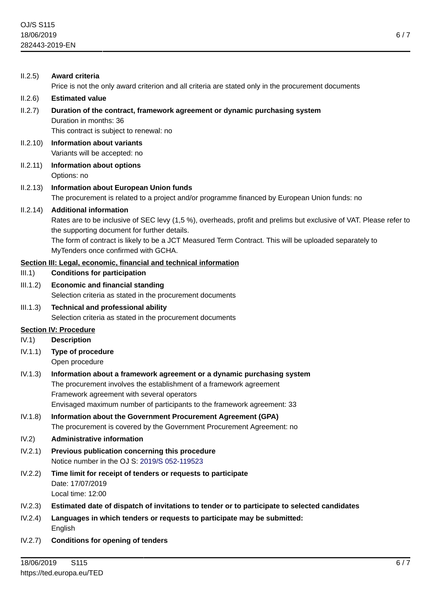| II.2.5)                      | Award criteria<br>Price is not the only award criterion and all criteria are stated only in the procurement documents                                                                                                                                                                                                                                |
|------------------------------|------------------------------------------------------------------------------------------------------------------------------------------------------------------------------------------------------------------------------------------------------------------------------------------------------------------------------------------------------|
| II.2.6)                      | <b>Estimated value</b>                                                                                                                                                                                                                                                                                                                               |
| II.2.7)                      | Duration of the contract, framework agreement or dynamic purchasing system<br>Duration in months: 36<br>This contract is subject to renewal: no                                                                                                                                                                                                      |
| II.2.10)                     | <b>Information about variants</b><br>Variants will be accepted: no                                                                                                                                                                                                                                                                                   |
| II.2.11)                     | <b>Information about options</b><br>Options: no                                                                                                                                                                                                                                                                                                      |
| II.2.13)                     | <b>Information about European Union funds</b><br>The procurement is related to a project and/or programme financed by European Union funds: no                                                                                                                                                                                                       |
| II.2.14)                     | <b>Additional information</b><br>Rates are to be inclusive of SEC levy (1,5 %), overheads, profit and prelims but exclusive of VAT. Please refer to<br>the supporting document for further details.<br>The form of contract is likely to be a JCT Measured Term Contract. This will be uploaded separately to<br>MyTenders once confirmed with GCHA. |
| III.1)                       | Section III: Legal, economic, financial and technical information<br><b>Conditions for participation</b>                                                                                                                                                                                                                                             |
| III.1.2)                     | <b>Economic and financial standing</b><br>Selection criteria as stated in the procurement documents                                                                                                                                                                                                                                                  |
| III.1.3)                     | <b>Technical and professional ability</b><br>Selection criteria as stated in the procurement documents                                                                                                                                                                                                                                               |
| <b>Section IV: Procedure</b> |                                                                                                                                                                                                                                                                                                                                                      |
| IV.1)                        | <b>Description</b>                                                                                                                                                                                                                                                                                                                                   |
| IV.1.1)                      | Type of procedure<br>Open procedure                                                                                                                                                                                                                                                                                                                  |
| IV.1.3)                      | Information about a framework agreement or a dynamic purchasing system<br>The procurement involves the establishment of a framework agreement<br>Framework agreement with several operators<br>Envisaged maximum number of participants to the framework agreement: 33                                                                               |
| IV.1.8)                      | Information about the Government Procurement Agreement (GPA)<br>The procurement is covered by the Government Procurement Agreement: no                                                                                                                                                                                                               |
| IV.2)                        | <b>Administrative information</b>                                                                                                                                                                                                                                                                                                                    |
| IV.2.1)                      | Previous publication concerning this procedure<br>Notice number in the OJ S: 2019/S 052-119523                                                                                                                                                                                                                                                       |
| IV.2.2)                      | Time limit for receipt of tenders or requests to participate<br>Date: 17/07/2019<br>Local time: 12:00                                                                                                                                                                                                                                                |
| IV.2.3)                      | Estimated date of dispatch of invitations to tender or to participate to selected candidates                                                                                                                                                                                                                                                         |
| IV.2.4)                      | Languages in which tenders or requests to participate may be submitted:<br>English                                                                                                                                                                                                                                                                   |
| IV.2.7)                      | <b>Conditions for opening of tenders</b>                                                                                                                                                                                                                                                                                                             |